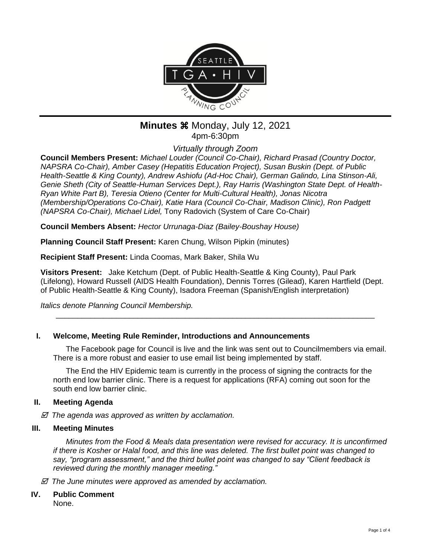

### **Minutes**  $%$  **Monday, July 12, 2021** 4pm-6:30pm

*Virtually through Zoom*

**Council Members Present:** *Michael Louder (Council Co-Chair), Richard Prasad (Country Doctor, NAPSRA Co-Chair), Amber Casey (Hepatitis Education Project), Susan Buskin (Dept. of Public Health-Seattle & King County), Andrew Ashiofu (Ad-Hoc Chair), German Galindo, Lina Stinson-Ali, Genie Sheth (City of Seattle-Human Services Dept.), Ray Harris (Washington State Dept. of Health-Ryan White Part B), Teresia Otieno (Center for Multi-Cultural Health), Jonas Nicotra (Membership/Operations Co-Chair), Katie Hara (Council Co-Chair, Madison Clinic), Ron Padgett (NAPSRA Co-Chair), Michael Lidel,* Tony Radovich (System of Care Co-Chair)

**Council Members Absent:** *Hector Urrunaga-Diaz (Bailey-Boushay House)*

**Planning Council Staff Present:** Karen Chung, Wilson Pipkin (minutes)

**Recipient Staff Present:** Linda Coomas, Mark Baker, Shila Wu

**Visitors Present:** Jake Ketchum (Dept. of Public Health-Seattle & King County), Paul Park (Lifelong), Howard Russell (AIDS Health Foundation), Dennis Torres (Gilead), Karen Hartfield (Dept. of Public Health-Seattle & King County), Isadora Freeman (Spanish/English interpretation)

\_\_\_\_\_\_\_\_\_\_\_\_\_\_\_\_\_\_\_\_\_\_\_\_\_\_\_\_\_\_\_\_\_\_\_\_\_\_\_\_\_\_\_\_\_\_\_\_\_\_\_\_\_\_\_\_\_\_\_\_\_\_\_\_\_\_\_\_\_\_\_\_\_\_

*Italics denote Planning Council Membership.* 

#### **I. Welcome, Meeting Rule Reminder, Introductions and Announcements**

The Facebook page for Council is live and the link was sent out to Councilmembers via email. There is a more robust and easier to use email list being implemented by staff.

The End the HIV Epidemic team is currently in the process of signing the contracts for the north end low barrier clinic. There is a request for applications (RFA) coming out soon for the south end low barrier clinic.

#### **II. Meeting Agenda**

 *The agenda was approved as written by acclamation.*

#### **III. Meeting Minutes**

*Minutes from the Food & Meals data presentation were revised for accuracy. It is unconfirmed if there is Kosher or Halal food, and this line was deleted. The first bullet point was changed to say, "program assessment," and the third bullet point was changed to say "Client feedback is reviewed during the monthly manager meeting."*

 *The June minutes were approved as amended by acclamation.*

# **IV. Public Comment**

None.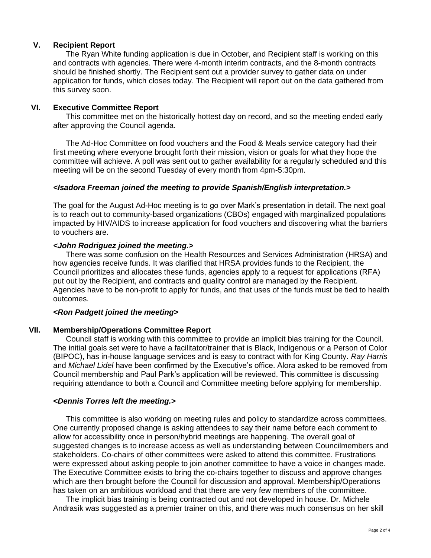#### **V. Recipient Report**

The Ryan White funding application is due in October, and Recipient staff is working on this and contracts with agencies. There were 4-month interim contracts, and the 8-month contracts should be finished shortly. The Recipient sent out a provider survey to gather data on under application for funds, which closes today. The Recipient will report out on the data gathered from this survey soon.

#### **VI. Executive Committee Report**

This committee met on the historically hottest day on record, and so the meeting ended early after approving the Council agenda.

The Ad-Hoc Committee on food vouchers and the Food & Meals service category had their first meeting where everyone brought forth their mission, vision or goals for what they hope the committee will achieve. A poll was sent out to gather availability for a regularly scheduled and this meeting will be on the second Tuesday of every month from 4pm-5:30pm.

#### *<Isadora Freeman joined the meeting to provide Spanish/English interpretation.>*

The goal for the August Ad-Hoc meeting is to go over Mark's presentation in detail. The next goal is to reach out to community-based organizations (CBOs) engaged with marginalized populations impacted by HIV/AIDS to increase application for food vouchers and discovering what the barriers to vouchers are.

#### *<John Rodriguez joined the meeting.>*

There was some confusion on the Health Resources and Services Administration (HRSA) and how agencies receive funds. It was clarified that HRSA provides funds to the Recipient, the Council prioritizes and allocates these funds, agencies apply to a request for applications (RFA) put out by the Recipient, and contracts and quality control are managed by the Recipient. Agencies have to be non-profit to apply for funds, and that uses of the funds must be tied to health outcomes.

#### *<Ron Padgett joined the meeting>*

#### **VII. Membership/Operations Committee Report**

Council staff is working with this committee to provide an implicit bias training for the Council. The initial goals set were to have a facilitator/trainer that is Black, Indigenous or a Person of Color (BIPOC), has in-house language services and is easy to contract with for King County. *Ray Harris* and *Michael Lidel* have been confirmed by the Executive's office. Alora asked to be removed from Council membership and Paul Park's application will be reviewed. This committee is discussing requiring attendance to both a Council and Committee meeting before applying for membership.

#### *<Dennis Torres left the meeting.>*

This committee is also working on meeting rules and policy to standardize across committees. One currently proposed change is asking attendees to say their name before each comment to allow for accessibility once in person/hybrid meetings are happening. The overall goal of suggested changes is to increase access as well as understanding between Councilmembers and stakeholders. Co-chairs of other committees were asked to attend this committee. Frustrations were expressed about asking people to join another committee to have a voice in changes made. The Executive Committee exists to bring the co-chairs together to discuss and approve changes which are then brought before the Council for discussion and approval. Membership/Operations has taken on an ambitious workload and that there are very few members of the committee.

The implicit bias training is being contracted out and not developed in house. Dr. Michele Andrasik was suggested as a premier trainer on this, and there was much consensus on her skill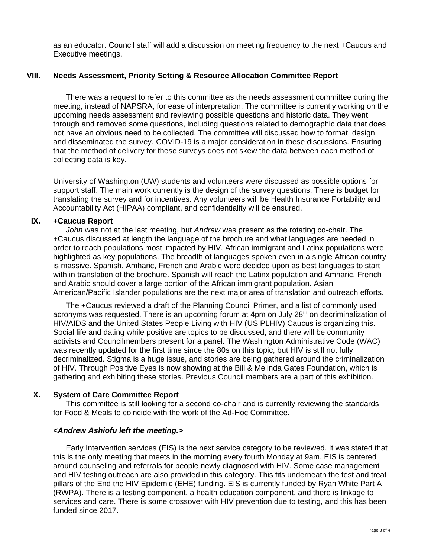as an educator. Council staff will add a discussion on meeting frequency to the next +Caucus and Executive meetings.

#### **VIII. Needs Assessment, Priority Setting & Resource Allocation Committee Report**

There was a request to refer to this committee as the needs assessment committee during the meeting, instead of NAPSRA, for ease of interpretation. The committee is currently working on the upcoming needs assessment and reviewing possible questions and historic data. They went through and removed some questions, including questions related to demographic data that does not have an obvious need to be collected. The committee will discussed how to format, design, and disseminated the survey. COVID-19 is a major consideration in these discussions. Ensuring that the method of delivery for these surveys does not skew the data between each method of collecting data is key.

University of Washington (UW) students and volunteers were discussed as possible options for support staff. The main work currently is the design of the survey questions. There is budget for translating the survey and for incentives. Any volunteers will be Health Insurance Portability and Accountability Act (HIPAA) compliant, and confidentiality will be ensured.

#### **IX. +Caucus Report**

*John* was not at the last meeting, but *Andrew* was present as the rotating co-chair. The +Caucus discussed at length the language of the brochure and what languages are needed in order to reach populations most impacted by HIV. African immigrant and Latinx populations were highlighted as key populations. The breadth of languages spoken even in a single African country is massive. Spanish, Amharic, French and Arabic were decided upon as best languages to start with in translation of the brochure. Spanish will reach the Latinx population and Amharic, French and Arabic should cover a large portion of the African immigrant population. Asian American/Pacific Islander populations are the next major area of translation and outreach efforts.

The +Caucus reviewed a draft of the Planning Council Primer, and a list of commonly used acronyms was requested. There is an upcoming forum at 4pm on July 28<sup>th</sup> on decriminalization of HIV/AIDS and the United States People Living with HIV (US PLHIV) Caucus is organizing this. Social life and dating while positive are topics to be discussed, and there will be community activists and Councilmembers present for a panel. The Washington Administrative Code (WAC) was recently updated for the first time since the 80s on this topic, but HIV is still not fully decriminalized. Stigma is a huge issue, and stories are being gathered around the criminalization of HIV. Through Positive Eyes is now showing at the Bill & Melinda Gates Foundation, which is gathering and exhibiting these stories. Previous Council members are a part of this exhibition.

#### **X. System of Care Committee Report**

This committee is still looking for a second co-chair and is currently reviewing the standards for Food & Meals to coincide with the work of the Ad-Hoc Committee.

#### *<Andrew Ashiofu left the meeting.>*

Early Intervention services (EIS) is the next service category to be reviewed. It was stated that this is the only meeting that meets in the morning every fourth Monday at 9am. EIS is centered around counseling and referrals for people newly diagnosed with HIV. Some case management and HIV testing outreach are also provided in this category. This fits underneath the test and treat pillars of the End the HIV Epidemic (EHE) funding. EIS is currently funded by Ryan White Part A (RWPA). There is a testing component, a health education component, and there is linkage to services and care. There is some crossover with HIV prevention due to testing, and this has been funded since 2017.